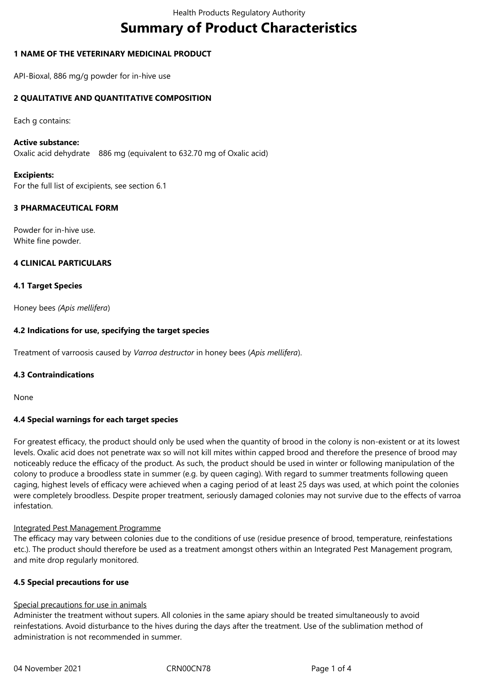# **Summary of Product Characteristics**

# **1 NAME OF THE VETERINARY MEDICINAL PRODUCT**

API-Bioxal, 886 mg/g powder for in-hive use

# **2 QUALITATIVE AND QUANTITATIVE COMPOSITION**

Each g contains:

#### **Active substance:**

Oxalic acid dehydrate 886 mg (equivalent to 632.70 mg of Oxalic acid)

# **Excipients:**

For the full list of excipients, see section 6.1

# **3 PHARMACEUTICAL FORM**

Powder for in-hive use. White fine powder.

# **4 CLINICAL PARTICULARS**

# **4.1 Target Species**

Honey bees *(Apis mellifera*)

# **4.2 Indications for use, specifying the target species**

Treatment of varroosis caused by *Varroa destructor* in honey bees (*Apis mellifera*).

# **4.3 Contraindications**

None

# **4.4 Special warnings for each target species**

For greatest efficacy, the product should only be used when the quantity of brood in the colony is non-existent or at its lowest levels. Oxalic acid does not penetrate wax so will not kill mites within capped brood and therefore the presence of brood may noticeably reduce the efficacy of the product. As such, the product should be used in winter or following manipulation of the colony to produce a broodless state in summer (e.g. by queen caging). With regard to summer treatments following queen caging, highest levels of efficacy were achieved when a caging period of at least 25 days was used, at which point the colonies were completely broodless. Despite proper treatment, seriously damaged colonies may not survive due to the effects of varroa infestation.

# Integrated Pest Management Programme

The efficacy may vary between colonies due to the conditions of use (residue presence of brood, temperature, reinfestations etc.). The product should therefore be used as a treatment amongst others within an Integrated Pest Management program, and mite drop regularly monitored.

# **4.5 Special precautions for use**

# Special precautions for use in animals

Administer the treatment without supers. All colonies in the same apiary should be treated simultaneously to avoid reinfestations. Avoid disturbance to the hives during the days after the treatment. Use of the sublimation method of administration is not recommended in summer.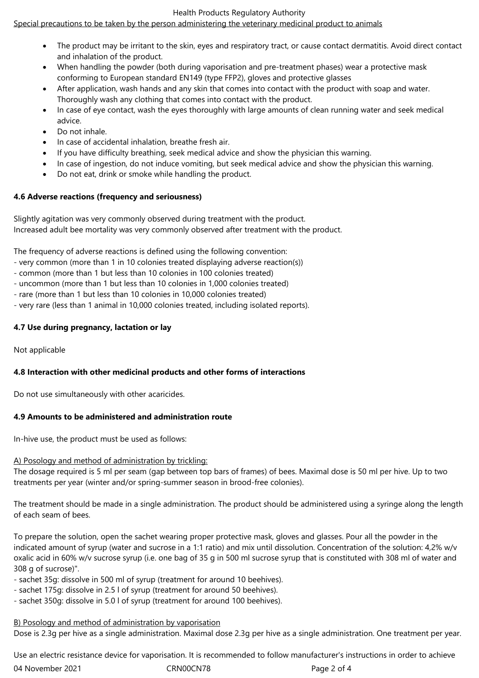# Health Products Regulatory Authority

# Special precautions to be taken by the person administering the veterinary medicinal product to animals

- The product may be irritant to the skin, eyes and respiratory tract, or cause contact dermatitis. Avoid direct contact and inhalation of the product.
- When handling the powder (both during vaporisation and pre-treatment phases) wear a protective mask conforming to European standard EN149 (type FFP2), gloves and protective glasses
- After application, wash hands and any skin that comes into contact with the product with soap and water. Thoroughly wash any clothing that comes into contact with the product.
- In case of eye contact, wash the eyes thoroughly with large amounts of clean running water and seek medical advice.
- Do not inhale.
- In case of accidental inhalation, breathe fresh air.
- If you have difficulty breathing, seek medical advice and show the physician this warning.
- In case of ingestion, do not induce vomiting, but seek medical advice and show the physician this warning.
- Do not eat, drink or smoke while handling the product.

# **4.6 Adverse reactions (frequency and seriousness)**

Slightly agitation was very commonly observed during treatment with the product. Increased adult bee mortality was very commonly observed after treatment with the product.

The frequency of adverse reactions is defined using the following convention:

- very common (more than 1 in 10 colonies treated displaying adverse reaction(s))
- common (more than 1 but less than 10 colonies in 100 colonies treated)
- uncommon (more than 1 but less than 10 colonies in 1,000 colonies treated)
- rare (more than 1 but less than 10 colonies in 10,000 colonies treated)
- very rare (less than 1 animal in 10,000 colonies treated, including isolated reports).

# **4.7 Use during pregnancy, lactation or lay**

Not applicable

# **4.8 Interaction with other medicinal products and other forms of interactions**

Do not use simultaneously with other acaricides.

# **4.9 Amounts to be administered and administration route**

In-hive use, the product must be used as follows:

# A) Posology and method of administration by trickling:

The dosage required is 5 ml per seam (gap between top bars of frames) of bees. Maximal dose is 50 ml per hive. Up to two treatments per year (winter and/or spring-summer season in brood-free colonies).

The treatment should be made in a single administration. The product should be administered using a syringe along the length of each seam of bees.

To prepare the solution, open the sachet wearing proper protective mask, gloves and glasses. Pour all the powder in the indicated amount of syrup (water and sucrose in a 1:1 ratio) and mix until dissolution. Concentration of the solution: 4,2% w/v oxalic acid in 60% w/v sucrose syrup (i.e. one bag of 35 g in 500 ml sucrose syrup that is constituted with 308 ml of water and 308 g of sucrose)".

- sachet 35g: dissolve in 500 ml of syrup (treatment for around 10 beehives).
- sachet 175g: dissolve in 2.5 l of syrup (treatment for around 50 beehives).
- sachet 350g: dissolve in 5.0 l of syrup (treatment for around 100 beehives).

# B) Posology and method of administration by vaporisation

Dose is 2.3g per hive as a single administration. Maximal dose 2.3g per hive as a single administration. One treatment per year.

04 November 2021 CRN00CN78 Page 2 of 4 Use an electric resistance device for vaporisation. It is recommended to follow manufacturer's instructions in order to achieve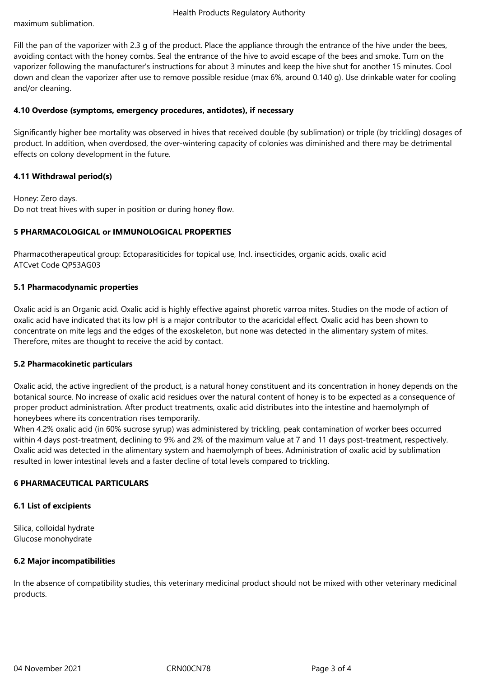maximum sublimation.

Fill the pan of the vaporizer with 2.3 g of the product. Place the appliance through the entrance of the hive under the bees, avoiding contact with the honey combs. Seal the entrance of the hive to avoid escape of the bees and smoke. Turn on the vaporizer following the manufacturer's instructions for about 3 minutes and keep the hive shut for another 15 minutes. Cool down and clean the vaporizer after use to remove possible residue (max 6%, around 0.140 g). Use drinkable water for cooling and/or cleaning.

#### **4.10 Overdose (symptoms, emergency procedures, antidotes), if necessary**

Significantly higher bee mortality was observed in hives that received double (by sublimation) or triple (by trickling) dosages of product. In addition, when overdosed, the over-wintering capacity of colonies was diminished and there may be detrimental effects on colony development in the future.

#### **4.11 Withdrawal period(s)**

Honey: Zero days. Do not treat hives with super in position or during honey flow.

# **5 PHARMACOLOGICAL or IMMUNOLOGICAL PROPERTIES**

Pharmacotherapeutical group: Ectoparasiticides for topical use, Incl. insecticides, organic acids, oxalic acid ATCvet Code QP53AG03

#### **5.1 Pharmacodynamic properties**

Oxalic acid is an Organic acid. Oxalic acid is highly effective against phoretic varroa mites. Studies on the mode of action of oxalic acid have indicated that its low pH is a major contributor to the acaricidal effect. Oxalic acid has been shown to concentrate on mite legs and the edges of the exoskeleton, but none was detected in the alimentary system of mites. Therefore, mites are thought to receive the acid by contact.

#### **5.2 Pharmacokinetic particulars**

Oxalic acid, the active ingredient of the product, is a natural honey constituent and its concentration in honey depends on the botanical source. No increase of oxalic acid residues over the natural content of honey is to be expected as a consequence of proper product administration. After product treatments, oxalic acid distributes into the intestine and haemolymph of honeybees where its concentration rises temporarily.

When 4.2% oxalic acid (in 60% sucrose syrup) was administered by trickling, peak contamination of worker bees occurred within 4 days post-treatment, declining to 9% and 2% of the maximum value at 7 and 11 days post-treatment, respectively. Oxalic acid was detected in the alimentary system and haemolymph of bees. Administration of oxalic acid by sublimation resulted in lower intestinal levels and a faster decline of total levels compared to trickling.

# **6 PHARMACEUTICAL PARTICULARS**

#### **6.1 List of excipients**

Silica, colloidal hydrate Glucose monohydrate

#### **6.2 Major incompatibilities**

In the absence of compatibility studies, this veterinary medicinal product should not be mixed with other veterinary medicinal products.